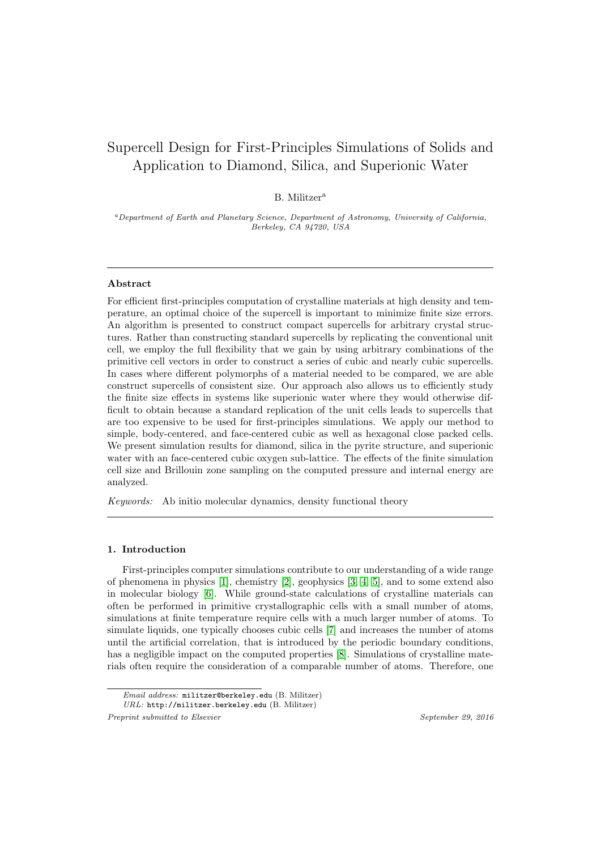# Supercell Design for First-Principles Simulations of Solids and Application to Diamond, Silica, and Superionic Water

B. Militzer<sup>a</sup>

<sup>a</sup>Department of Earth and Planetary Science, Department of Astronomy, University of California, Berkeley, CA 94720, USA

## Abstract

For efficient first-principles computation of crystalline materials at high density and temperature, an optimal choice of the supercell is important to minimize finite size errors. An algorithm is presented to construct compact supercells for arbitrary crystal structures. Rather than constructing standard supercells by replicating the conventional unit cell, we employ the full flexibility that we gain by using arbitrary combinations of the primitive cell vectors in order to construct a series of cubic and nearly cubic supercells. In cases where different polymorphs of a material needed to be compared, we are able construct supercells of consistent size. Our approach also allows us to efficiently study the finite size effects in systems like superionic water where they would otherwise difficult to obtain because a standard replication of the unit cells leads to supercells that are too expensive to be used for first-principles simulations. We apply our method to simple, body-centered, and face-centered cubic as well as hexagonal close packed cells. We present simulation results for diamond, silica in the pyrite structure, and superionic water with an face-centered cubic oxygen sub-lattice. The effects of the finite simulation cell size and Brillouin zone sampling on the computed pressure and internal energy are analyzed.

Keywords: Ab initio molecular dynamics, density functional theory

#### 1. Introduction

First-principles computer simulations contribute to our understanding of a wide range of phenomena in physics  $[1]$ , chemistry  $[2]$ , geophysics  $[3, 4, 5]$  $[3, 4, 5]$  $[3, 4, 5]$ , and to some extend also in molecular biology [\[6\]](#page-12-5). While ground-state calculations of crystalline materials can often be performed in primitive crystallographic cells with a small number of atoms, simulations at finite temperature require cells with a much larger number of atoms. To simulate liquids, one typically chooses cubic cells [\[7\]](#page-12-6) and increases the number of atoms until the artificial correlation, that is introduced by the periodic boundary conditions, has a negligible impact on the computed properties  $[8]$ . Simulations of crystalline materials often require the consideration of a comparable number of atoms. Therefore, one

Preprint submitted to Elsevier September 29, 2016

Email address: militzer@berkeley.edu (B. Militzer)

URL: http://militzer.berkeley.edu (B. Militzer)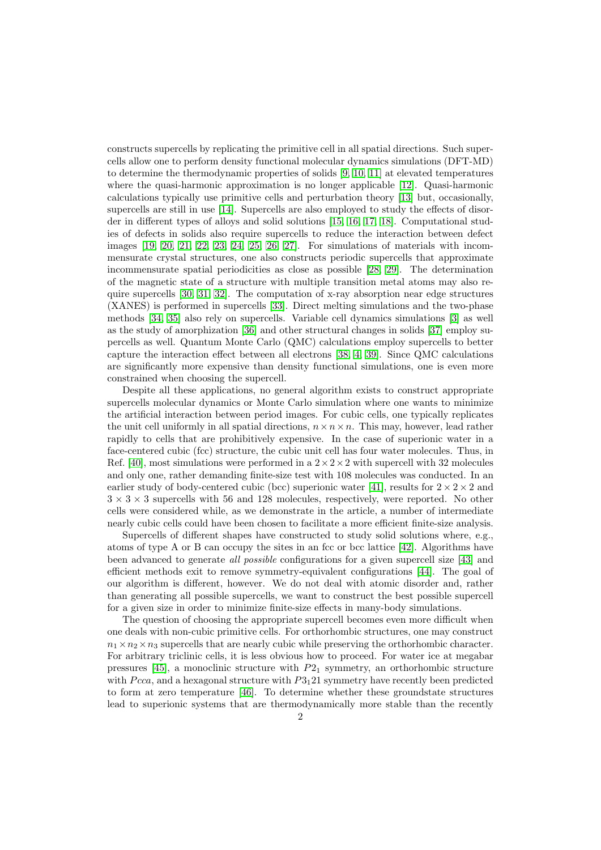constructs supercells by replicating the primitive cell in all spatial directions. Such supercells allow one to perform density functional molecular dynamics simulations (DFT-MD) to determine the thermodynamic properties of solids [\[9,](#page-12-8) [10,](#page-13-0) [11\]](#page-13-1) at elevated temperatures where the quasi-harmonic approximation is no longer applicable [\[12\]](#page-13-2). Quasi-harmonic calculations typically use primitive cells and perturbation theory [\[13\]](#page-13-3) but, occasionally, supercells are still in use [\[14\]](#page-13-4). Supercells are also employed to study the effects of disorder in different types of alloys and solid solutions [\[15,](#page-13-5) [16,](#page-13-6) [17,](#page-13-7) [18\]](#page-13-8). Computational studies of defects in solids also require supercells to reduce the interaction between defect images [\[19,](#page-13-9) [20,](#page-13-10) [21,](#page-13-11) [22,](#page-13-12) [23,](#page-13-13) [24,](#page-13-14) [25,](#page-13-15) [26,](#page-13-16) [27\]](#page-13-17). For simulations of materials with incommensurate crystal structures, one also constructs periodic supercells that approximate incommensurate spatial periodicities as close as possible [\[28,](#page-13-18) [29\]](#page-13-19). The determination of the magnetic state of a structure with multiple transition metal atoms may also require supercells [\[30,](#page-13-20) [31,](#page-13-21) [32\]](#page-13-22). The computation of x-ray absorption near edge structures (XANES) is performed in supercells [\[33\]](#page-13-23). Direct melting simulations and the two-phase methods [\[34,](#page-14-0) [35\]](#page-14-1) also rely on supercells. Variable cell dynamics simulations [\[3\]](#page-12-2) as well as the study of amorphization [\[36\]](#page-14-2) and other structural changes in solids [\[37\]](#page-14-3) employ supercells as well. Quantum Monte Carlo (QMC) calculations employ supercells to better capture the interaction effect between all electrons [\[38,](#page-14-4) [4,](#page-12-3) [39\]](#page-14-5). Since QMC calculations are significantly more expensive than density functional simulations, one is even more constrained when choosing the supercell.

Despite all these applications, no general algorithm exists to construct appropriate supercells molecular dynamics or Monte Carlo simulation where one wants to minimize the artificial interaction between period images. For cubic cells, one typically replicates the unit cell uniformly in all spatial directions,  $n \times n \times n$ . This may, however, lead rather rapidly to cells that are prohibitively expensive. In the case of superionic water in a face-centered cubic (fcc) structure, the cubic unit cell has four water molecules. Thus, in Ref. [\[40\]](#page-14-6), most simulations were performed in a  $2 \times 2 \times 2$  with supercell with 32 molecules and only one, rather demanding finite-size test with 108 molecules was conducted. In an earlier study of body-centered cubic (bcc) superionic water [\[41\]](#page-14-7), results for  $2 \times 2 \times 2$  and  $3 \times 3 \times 3$  supercells with 56 and 128 molecules, respectively, were reported. No other cells were considered while, as we demonstrate in the article, a number of intermediate nearly cubic cells could have been chosen to facilitate a more efficient finite-size analysis.

Supercells of different shapes have constructed to study solid solutions where, e.g., atoms of type A or B can occupy the sites in an fcc or bcc lattice [\[42\]](#page-14-8). Algorithms have been advanced to generate all possible configurations for a given supercell size [\[43\]](#page-14-9) and efficient methods exit to remove symmetry-equivalent configurations [\[44\]](#page-14-10). The goal of our algorithm is different, however. We do not deal with atomic disorder and, rather than generating all possible supercells, we want to construct the best possible supercell for a given size in order to minimize finite-size effects in many-body simulations.

The question of choosing the appropriate supercell becomes even more difficult when one deals with non-cubic primitive cells. For orthorhombic structures, one may construct  $n_1 \times n_2 \times n_3$  supercells that are nearly cubic while preserving the orthorhombic character. For arbitrary triclinic cells, it is less obvious how to proceed. For water ice at megabar pressures [\[45\]](#page-14-11), a monoclinic structure with  $P2<sub>1</sub>$  symmetry, an orthorhombic structure with  $Pcca$ , and a hexagonal structure with  $P3<sub>1</sub>21$  symmetry have recently been predicted to form at zero temperature [\[46\]](#page-14-12). To determine whether these groundstate structures lead to superionic systems that are thermodynamically more stable than the recently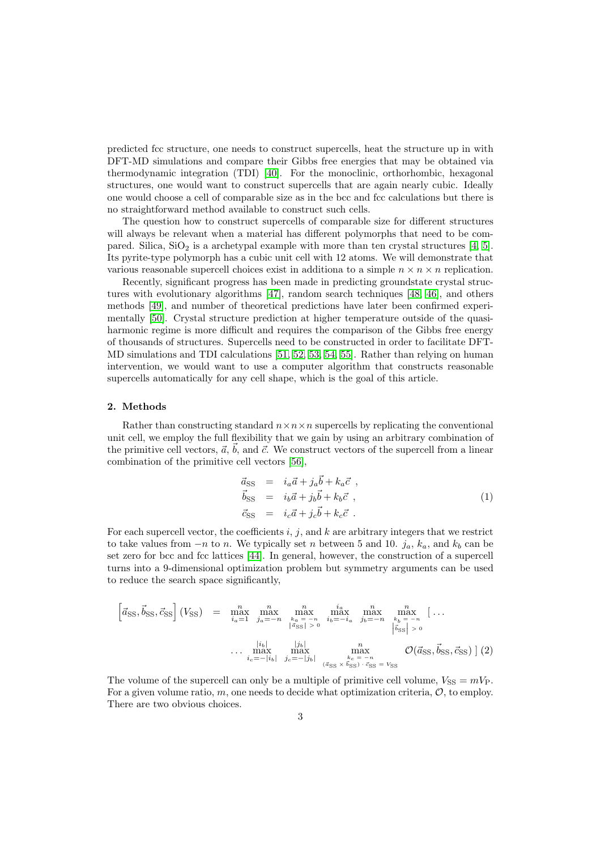predicted fcc structure, one needs to construct supercells, heat the structure up in with DFT-MD simulations and compare their Gibbs free energies that may be obtained via thermodynamic integration (TDI) [\[40\]](#page-14-6). For the monoclinic, orthorhombic, hexagonal structures, one would want to construct supercells that are again nearly cubic. Ideally one would choose a cell of comparable size as in the bcc and fcc calculations but there is no straightforward method available to construct such cells.

The question how to construct supercells of comparable size for different structures will always be relevant when a material has different polymorphs that need to be compared. Silica,  $SiO<sub>2</sub>$  is a archetypal example with more than ten crystal structures [\[4,](#page-12-3) [5\]](#page-12-4). Its pyrite-type polymorph has a cubic unit cell with 12 atoms. We will demonstrate that various reasonable supercell choices exist in additiona to a simple  $n \times n \times n$  replication.

Recently, significant progress has been made in predicting groundstate crystal structures with evolutionary algorithms [\[47\]](#page-14-13), random search techniques [\[48,](#page-14-14) [46\]](#page-14-12), and others methods [\[49\]](#page-14-15), and number of theoretical predictions have later been confirmed experimentally [\[50\]](#page-14-16). Crystal structure prediction at higher temperature outside of the quasiharmonic regime is more difficult and requires the comparison of the Gibbs free energy of thousands of structures. Supercells need to be constructed in order to facilitate DFT-MD simulations and TDI calculations [\[51,](#page-14-17) [52,](#page-14-18) [53,](#page-14-19) [54,](#page-14-20) [55\]](#page-14-21). Rather than relying on human intervention, we would want to use a computer algorithm that constructs reasonable supercells automatically for any cell shape, which is the goal of this article.

#### 2. Methods

Rather than constructing standard  $n \times n \times n$  supercells by replicating the conventional unit cell, we employ the full flexibility that we gain by using an arbitrary combination of the primitive cell vectors,  $\vec{a}$ ,  $\vec{b}$ , and  $\vec{c}$ . We construct vectors of the supercell from a linear combination of the primitive cell vectors [\[56\]](#page-14-22),

<span id="page-2-0"></span>
$$
\begin{array}{rcl}\n\vec{a}_{\text{SS}} & = & i_a \vec{a} + j_a \vec{b} + k_a \vec{c} \, , \\
\vec{b}_{\text{SS}} & = & i_b \vec{a} + j_b \vec{b} + k_b \vec{c} \, , \\
\vec{c}_{\text{SS}} & = & i_c \vec{a} + j_c \vec{b} + k_c \vec{c} \, .\n\end{array} \tag{1}
$$

For each supercell vector, the coefficients  $i, j$ , and  $k$  are arbitrary integers that we restrict to take values from  $-n$  to n. We typically set n between 5 and 10.  $j_a$ ,  $k_a$ , and  $k_b$  can be set zero for bcc and fcc lattices [\[44\]](#page-14-10). In general, however, the construction of a supercell turns into a 9-dimensional optimization problem but symmetry arguments can be used to reduce the search space significantly,

<span id="page-2-1"></span>
$$
\begin{bmatrix}\n\vec{a}_{\text{SS}}, \vec{b}_{\text{SS}}, \vec{c}_{\text{SS}}\n\end{bmatrix}\n\begin{bmatrix}\nV_{\text{SS}}\n\end{bmatrix} = \max_{\substack{i_a = 1 \\ i_a = 1}} \max_{\substack{j_a = -n \\ j_a = -n}} \max_{\substack{k_a = -n \\ |\vec{a}_{\text{SS}}| > 0}} \max_{\substack{i_b = -i_a \\ i_b = -i_a}} \max_{\substack{j_b = -n \\ j_b = -n}} \max_{\substack{k_b = -n \\ |\vec{b}_{\text{SS}}| > 0}} \left[\dots, \frac{|\vec{a}_{\text{S}}|}{|\vec{a}_{\text{SS}}|} \right] \left[\dots, \frac{|\vec{a}_{\text{S}}|}{|\vec{a}_{\text{SS}}|} \right]
$$
\n
$$
\dots \max_{\substack{i_c = -|i_b| \\ i_c = -|j_b|}} \max_{\substack{j_c = -j_b \\ j_c = -j_b}} \max_{\substack{k_c = -n \\ |\vec{a}_{\text{SS}} \times \vec{b}_{\text{SS}} \times \vec{b}_{\text{SS}} \times \vec{c}_{\text{SS}} = V_{\text{SS}}}} \mathcal{O}(\vec{a}_{\text{SS}}, \vec{b}_{\text{SS}}, \vec{c}_{\text{SS}}) \tag{2}
$$

The volume of the supercell can only be a multiple of primitive cell volume,  $V_{SS} = mV_{P}$ . For a given volume ratio,  $m$ , one needs to decide what optimization criteria,  $\mathcal{O}$ , to employ. There are two obvious choices.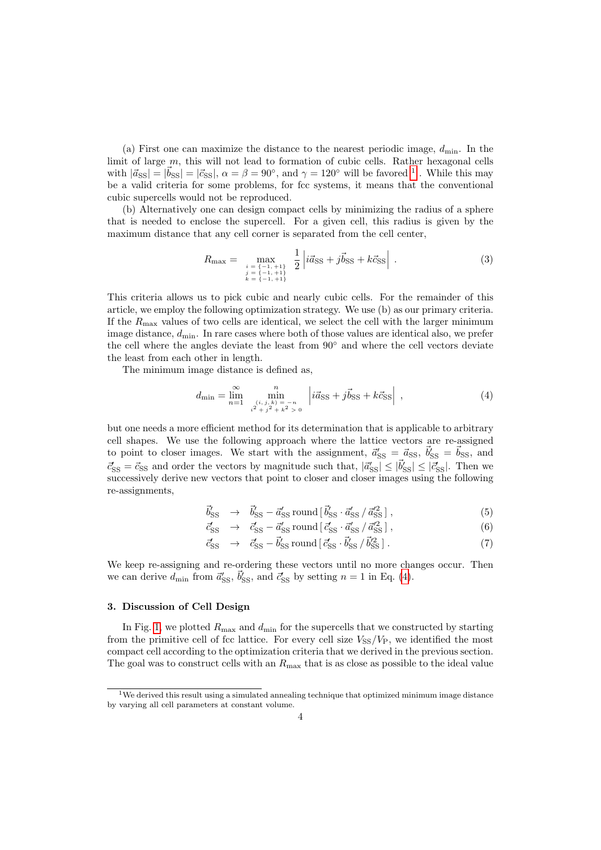(a) First one can maximize the distance to the nearest periodic image,  $d_{\min}$ . In the limit of large m, this will not lead to formation of cubic cells. Rather hexagonal cells with  $|\vec{a}_{\text{SS}}| = |\vec{b}_{\text{SS}}| = |\vec{c}_{\text{SS}}|, \alpha = \beta = 90^{\circ}$ , and  $\gamma = 120^{\circ}$  $\gamma = 120^{\circ}$  $\gamma = 120^{\circ}$  will be favored <sup>1</sup>. While this may be a valid criteria for some problems, for fcc systems, it means that the conventional cubic supercells would not be reproduced.

(b) Alternatively one can design compact cells by minimizing the radius of a sphere that is needed to enclose the supercell. For a given cell, this radius is given by the maximum distance that any cell corner is separated from the cell center,

<span id="page-3-2"></span>
$$
R_{\max} = \max_{\substack{i = \{-1, +1\} \\ j = \{-1, +1\} \\ k = \{-1, +1\}}} \frac{1}{2} \left| i\vec{a}_{\text{SS}} + j\vec{b}_{\text{SS}} + k\vec{c}_{\text{SS}} \right| . \tag{3}
$$

This criteria allows us to pick cubic and nearly cubic cells. For the remainder of this article, we employ the following optimization strategy. We use (b) as our primary criteria. If the  $R_{\text{max}}$  values of two cells are identical, we select the cell with the larger minimum image distance,  $d_{\min}$ . In rare cases where both of those values are identical also, we prefer the cell where the angles deviate the least from 90◦ and where the cell vectors deviate the least from each other in length.

The minimum image distance is defined as,

<span id="page-3-1"></span>
$$
d_{\min} = \lim_{n=1}^{\infty} \min_{\substack{(i,j,k) = -n \\ i^2 + j^2 + k^2 > 0}} \left| i\vec{a}_{\text{SS}} + j\vec{b}_{\text{SS}} + k\vec{c}_{\text{SS}} \right| , \tag{4}
$$

but one needs a more efficient method for its determination that is applicable to arbitrary cell shapes. We use the following approach where the lattice vectors are re-assigned to point to closer images. We start with the assignment,  $\vec{a}'_{\rm SS} = \vec{a}_{\rm SS}$ ,  $\vec{b}'_{\rm SS} = \vec{b}_{\rm SS}$ , and  $\vec{c}_{\text{SS}} = \vec{c}_{\text{SS}}$  and order the vectors by magnitude such that,  $|\vec{a}'_{\text{SS}}| \leq |\vec{b}'_{\text{SS}}| \leq |\vec{c}'_{\text{SS}}|$ . Then we successively derive new vectors that point to closer and closer images using the following re-assignments,

$$
\vec{b}_{\rm SS}' \rightarrow \vec{b}_{\rm SS}' - \vec{a}_{\rm SS}' \text{ round} [\vec{b}_{\rm SS}' \cdot \vec{a}_{\rm SS}' / \vec{a}_{\rm SS}^{\prime 2}], \qquad (5)
$$

$$
\vec{c}_{\rm SS}^{\prime} \rightarrow \vec{c}_{\rm SS}^{\prime} - \vec{a}_{\rm SS}^{\prime} \text{ round} [\vec{c}_{\rm SS}^{\prime} \cdot \vec{a}_{\rm SS}^{\prime\prime} / \vec{a}_{\rm SS}^{\prime 2}], \qquad (6)
$$

$$
\vec{c}_{\text{SS}}' \rightarrow \vec{c}_{\text{SS}} - \vec{b}_{\text{SS}}' \text{ round} [\vec{c}_{\text{SS}}' \cdot \vec{b}_{\text{SS}}' / \vec{b}_{\text{SS}}'^2]. \tag{7}
$$

We keep re-assigning and re-ordering these vectors until no more changes occur. Then we can derive  $d_{\text{min}}$  from  $\vec{a}'_{\text{SS}}$ ,  $\vec{b}'_{\text{SS}}$ , and  $\vec{c}'_{\text{SS}}$  by setting  $n = 1$  in Eq. [\(4\)](#page-3-1).

#### 3. Discussion of Cell Design

In Fig. [1,](#page-6-0) we plotted  $R_{\text{max}}$  and  $d_{\text{min}}$  for the supercells that we constructed by starting from the primitive cell of fcc lattice. For every cell size  $V_{SS}/V_P$ , we identified the most compact cell according to the optimization criteria that we derived in the previous section. The goal was to construct cells with an  $R_{\text{max}}$  that is as close as possible to the ideal value

<span id="page-3-0"></span><sup>1</sup>We derived this result using a simulated annealing technique that optimized minimum image distance by varying all cell parameters at constant volume.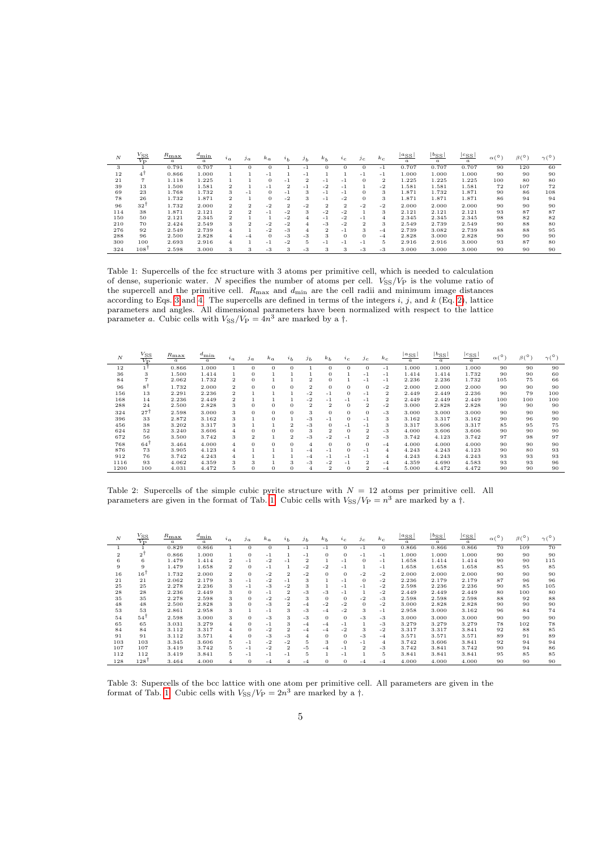| N   | $\frac{V_{\rm SS}}{V_{\rm P}}$ | $R_{\rm max}$<br>$\boldsymbol{a}$ | $d_{\min}$<br>$\boldsymbol{a}$ | $i_a$          | $\int_a^b$     | $k_a$    | a <sub>b</sub> | j <sub>b</sub> | $k_b$          | $\iota_c$      | $J_{\rm C}$    | $k_c$          | $ a_{SS} $<br>$\boldsymbol{a}$ | $ b_{SS} $<br>$\boldsymbol{a}$ | $c_{SS}$<br>$\boldsymbol{a}$ | $\alpha$ <sup>(<math>\circ</math></sup> ) | $\beta(0)$ | $\gamma$ (° |
|-----|--------------------------------|-----------------------------------|--------------------------------|----------------|----------------|----------|----------------|----------------|----------------|----------------|----------------|----------------|--------------------------------|--------------------------------|------------------------------|-------------------------------------------|------------|-------------|
| 3   |                                | 0.791                             | 0.707                          |                |                |          |                | - 1            | $\mathbf{0}$   | $\Omega$       |                | $-1$           | 0.707                          | 0.707                          | 0.707                        | 90                                        | 120        | 60          |
| 12  | $4^{\dagger}$                  | 0.866                             | 1.000                          |                |                | $-1$     |                | - 1            |                |                | $-1$           | $-1$           | 1.000                          | 1.000                          | 1.000                        | 90                                        | 90         | 90          |
| 21  |                                | 1.118                             | 1.225                          |                |                | $\Omega$ | -1             | $\overline{2}$ | $-1$           | - 1            | $\Omega$       | $\overline{2}$ | 1.225                          | 1.225                          | 1.225                        | 100                                       | 80         | 80          |
| 39  | 13                             | 1.500                             | 1.581                          | $\overline{2}$ |                | - 1      | $\overline{2}$ | - 1            | $-2$           | - 1            |                | $-2$           | 581                            | 1.581                          | 1.581                        | 72                                        | 107        | 72          |
| 69  | 23                             | 1.768                             | 1.732                          | 3              | - 1            | $\theta$ | -1             | 3              | $-1$           | - 1            | $\theta$       | 3              | 1.871                          | 1.732                          | 1.871                        | 90                                        | 86         | 108         |
| 78  | 26                             | 1.732                             | 1.871                          | 2              |                | $\Omega$ | -2             | 3              | $-1$           | $-2$           | $\theta$       | 3              | 1.871                          | 1.871                          | 1.871                        | 86                                        | 94         | 94          |
| 96  | 32 <sup>1</sup>                | 1.732                             | 2.000                          | $\overline{2}$ | $\overline{2}$ | $-2$     | $\overline{2}$ | $-2$           | $\mathbf{2}$   | $\overline{2}$ | $-2$           | $-2$           | 2.000                          | 2.000                          | 2.000                        | 90                                        | 90         | 90          |
| 114 | 38                             | 1.871                             | 2.121                          | $\overline{2}$ | $\overline{2}$ | $-1$     | $-2$           | 3              | $-2$           | $-2$           |                | 3              | 2.121                          | 2.121                          | 2.121                        | 93                                        | 87         | 87          |
| 150 | 50                             | 2.121                             | 2.345                          | $\overline{2}$ |                |          | -2             | 4              | $-1$           | $-2$           | $-1$           | $\overline{4}$ | 2.345                          | 2.345                          | 2.345                        | 98                                        | 82         | 82          |
| 210 | 70                             | 2.424                             | 2.549                          | 3              | $\overline{2}$ | $-2$     | $-2$           | 4              | $-3$           | $-2$           | $\overline{2}$ | 3              | 2.549                          | 2.739                          | 2.549                        | 90                                        | 88         | 80          |
| 276 | 92                             | 2.549                             | 2.739                          | 4              |                | -2       | $-3$           | 4              | $\overline{2}$ | $-1$           | 3              | $-4$           | 2.739                          | 3.082                          | 2.739                        | 88                                        | 88         | 95          |
| 288 | 96                             | 2.500                             | 2.828                          | 4              | $-4$           | $\Omega$ | -3             | $-3$           | 3              | $\Omega$       | $\mathbf{O}$   | $-4$           | 2.828                          | 3.000                          | 2.828                        | 90                                        | 90         | 90          |
| 300 | 100                            | 2.693                             | 2.916                          | 4              |                | $-1$     | $-2$           | 5              | $-1$           | - 1            | $-1$           | 5              | 2.916                          | 2.916                          | 3.000                        | 93                                        | 87         | 80          |
| 324 | 108 <sup>1</sup>               | 2.598                             | 3.000                          | 3              | 3              | $-3$     | 3              | $-3$           | 3              | 3              | $-3$           | $-3$           | 3.000                          | 3.000                          | 3.000                        | 90                                        | 90         | 90          |

<span id="page-4-0"></span>Table 1: Supercells of the fcc structure with 3 atoms per primitive cell, which is needed to calculation of dense, superionic water. N specifies the number of atoms per cell.  $V_{SS}/V_P$  is the volume ratio of the supercell and the primitive cell.  $R_{\text{max}}$  and  $d_{\text{min}}$  are the cell radii and minimum image distances according to Eqs. [3](#page-3-2) and [4.](#page-3-1) The supercells are defined in terms of the integers  $i, j$ , and  $k$  (Eq. [2\)](#page-2-0), lattice parameters and angles. All dimensional parameters have been normalized with respect to the lattice parameter a. Cubic cells with  $V_{SS}/V_P = 4n^3$  are marked by a  $\dagger$ .

| N    | $\frac{V_{\rm SS}}{V_{\rm P}}$ | $R_{\rm max}$<br>$\alpha$ | $a_{\min}$<br>$\boldsymbol{a}$ | $i_a$          | $j_{a}$        | $k_a$    | i <sub>b</sub> | j <sub>b</sub> | $k_b$          | 2c             | 1c             | $k_c$          | $ a_{\rm SS} $<br>$\alpha$ | $ b_{\rm SS} $<br>$\alpha$ | $ c_{\rm SS} $<br>$\alpha$ | ۰0<br>$\alpha$ | $\beta(0)$ | $\gamma(^\circ$ |
|------|--------------------------------|---------------------------|--------------------------------|----------------|----------------|----------|----------------|----------------|----------------|----------------|----------------|----------------|----------------------------|----------------------------|----------------------------|----------------|------------|-----------------|
| 12   |                                | 0.866                     | 1.000                          | $\mathbf{1}$   | $\Omega$       | $\Omega$ | $\Omega$       |                | $\theta$       | $\Omega$       | $\overline{0}$ | $-1$           | 1.000                      | 1.000                      | 1.000                      | 90             | 90         | 90              |
| 36   | 3                              | 1.500                     | 1.414                          |                | $\Omega$       |          |                |                | $\theta$       |                | $-1$           | $-1$           | 1.414                      | 1.414                      | 1.732                      | 90             | 90         | 60              |
| 84   |                                | 2.062                     | 1.732                          | 2              | $\theta$       |          |                | $\overline{2}$ | $\theta$       |                | -1             | $-1$           | 2.236                      | 2.236                      | 1.732                      | 105            | 75         | 66              |
| 96   | ۶Ť                             | 1.732                     | 2.000                          | $\overline{2}$ | $\Omega$       | $\Omega$ | $\Omega$       | $\overline{2}$ | $\theta$       | $\Omega$       | $\overline{0}$ | $-2$           | 2.000                      | 2.000                      | 2.000                      | 90             | 90         | 90              |
| 156  | 13                             | 2.291                     | 2.236                          | $\overline{2}$ |                |          |                | $-2$           | $-1$           | $\mathbf{0}$   | $-1$           | $\overline{2}$ | 2.449                      | 2.449                      | 2.236                      | 90             | 79         | 100             |
| 168  | 14                             | 2.236                     | 2.449                          | $\overline{2}$ |                |          |                | $-2$           | $-1$           | -1             | $-1$           | $\overline{2}$ | 2.449                      | 2.449                      | 2.449                      | 100            | 100        | 100             |
| 288  | 24                             | 2.500                     | 2.828                          | 3              | $\theta$       | $\Omega$ | $\Omega$       | $\overline{2}$ | $\overline{2}$ | $\overline{0}$ | $\overline{2}$ | $-2$           | 3.000                      | 2.828                      | 2.828                      | 90             | 90         | 90              |
| 324  | 27                             | 2.598                     | 3.000                          | 3              | $\Omega$       | $\Omega$ | $\overline{0}$ | 3              | $\theta$       | $\theta$       | $\overline{0}$ | $-3$           | 3.000                      | 3.000                      | 3.000                      | 90             | 90         | 90              |
| 396  | 33                             | 2.872                     | 3.162                          | 3              |                | $\Omega$ |                | $-3$           | $-1$           | $\theta$       | $-1$           | 3              | 3.162                      | 3.317                      | 3.162                      | 90             | 96         | 90              |
| 456  | 38                             | 3.202                     | 3.317                          | 3              |                |          | $\overline{2}$ | -3             | $\Omega$       | -1             | $-1$           | 3              | 3.317                      | 3.606                      | 3.317                      | 85             | 95         | 75              |
| 624  | 52                             | 3.240                     | 3.606                          | $\overline{4}$ | $\Omega$       | $\Omega$ | $\overline{0}$ | 3              | $\overline{2}$ | $\mathbf{0}$   | $\overline{2}$ | $-3$           | 4.000                      | 3.606                      | 3.606                      | 90             | 90         | 90              |
| 672  | 56                             | 3.500                     | 3.742                          | 3              | $\overline{2}$ |          | $\overline{2}$ | $-3$           | $-2$           | - 1            | $\overline{2}$ | $-3$           | 3.742                      | 4.123                      | 3.742                      | 97             | 98         | 97              |
| 768  | 64                             | 3.464                     | 4.000                          | $\overline{4}$ | $\Omega$       | $\Omega$ | $\Omega$       | 4              | $\theta$       | $\Omega$       | $\theta$       | $-4$           | 4.000                      | 4.000                      | 4.000                      | 90             | 90         | 90              |
| 876  | 73                             | 3.905                     | 4.123                          | 4              |                |          |                | -4             | $-1$           | $\Omega$       | $-1$           | $\overline{A}$ | 4.243                      | 4.243                      | 4.123                      | 90             | 80         | 93              |
| 912  | 76                             | 3.742                     | 4.243                          | 4              |                |          |                | $-4$           | -1             | -1             | $-1$           | $\overline{A}$ | 4.243                      | 4.243                      | 4.243                      | 93             | 93         | 93              |
| 1116 | 93                             | 4.062                     | 4.359                          | 3              | 3              |          | 3              | $-3$           | $-2$           | - 1            | $\overline{2}$ | $-4$           | 4.359                      | 4.690                      | 4.583                      | 93             | 93         | 96              |
| 1200 | 100                            | 4.031                     | 4.472                          | 5              | $\Omega$       | $\Omega$ | 0              | 4              | $\overline{2}$ | 0              | 2              | $-4$           | 5.000                      | 4.472                      | 4.472                      | 90             | 90         | 90              |

<span id="page-4-1"></span>Table 2: Supercells of the simple cubic pyrite structure with  $N = 12$  atoms per primitive cell. All parameters are given in the format of Tab. [1.](#page-4-0) Cubic cells with  $V_{SS}/V_P = n^3$  are marked by a  $\dagger$ .

| $\boldsymbol{N}$ | $V_\mathrm{SS}$<br>$\overline{V_{\mathbf{D}}}$ | $R_{\rm max}$<br>$\alpha$ | $a_{\min}$<br>$\alpha$ | $\iota_a$      | $j_{a}$  | $k_a$    | $a_b$                   | j <sub>b</sub> | $k_b$          | $\iota_c$ | $\jmath$ $c$   | $k_c$          | $ a_{\rm SS} $<br>$\alpha$ | $ b_{\rm SS} $<br>$\alpha$ | $ c_{\rm SS} $<br>$\alpha$ | $\alpha$ ( <sup><math>\circ</math></sup> | $\beta(^\circ$ | $\gamma(^{\circ})$ |
|------------------|------------------------------------------------|---------------------------|------------------------|----------------|----------|----------|-------------------------|----------------|----------------|-----------|----------------|----------------|----------------------------|----------------------------|----------------------------|------------------------------------------|----------------|--------------------|
|                  |                                                | 0.829                     | 0.866                  | 1              | $\Omega$ | $\Omega$ |                         | $-1$           | $-1$           | $\Omega$  | -1             | $\Omega$       | 0.866                      | 0.866                      | 0.866                      | 70                                       | 109            | 70                 |
| $\overline{2}$   | $2^{\top}$                                     | 0.866                     | 1.000                  | 1              | $\theta$ | $-1$     |                         | $-1$           | $\mathbf{0}$   | $\theta$  | $-1$           | $-1$           | 1.000                      | 1.000                      | 1.000                      | 90                                       | 90             | 90                 |
| 6                | 6                                              | 1.479                     | 1.414                  | 2              | $-1$     | $-2$     | - 1                     | $\overline{2}$ |                | -1        | $\theta$       | $-1$           | 1.658                      | 1.414                      | 1.414                      | 90                                       | 90             | 115                |
| 9                | 9                                              | 1.479                     | 1.658                  | 2              | $\Omega$ | $-1$     |                         | $-2$           | $-2$           | -1        |                | $-1$           | 1.658                      | 1.658                      | 1.658                      | 85                                       | 95             | 85                 |
| 16               | 16 <sup>1</sup>                                | 1.732                     | 2.000                  | $\overline{2}$ | $\Omega$ | $-2$     | $\overline{2}$          | $-2$           | $\Omega$       | $\Omega$  | $-2$           | $-2$           | 2.000                      | 2.000                      | 2.000                      | 90                                       | 90             | 90                 |
| 21               | 21                                             | 2.062                     | 2.179                  | 3              | $-1$     | $-2$     | $-1$                    | 3              |                | -1        | $\Omega$       | $-2$           | 2.236                      | 2.179                      | 2.179                      | 87                                       | 96             | 96                 |
| 25               | 25                                             | 2.278                     | 2.236                  | 3              | $-1$     | $-3$     | $-2$                    | 3              |                | - 1       | $-1$           | $-2$           | 2.598                      | 2.236                      | 2.236                      | 90                                       | 85             | 105                |
| 28               | 28                                             | 2.236                     | 2.449                  | 3              | $\Omega$ | $-1$     | $\overline{\mathbf{2}}$ | $-3$           | -3             | -1        | 1              | $-2$           | 2.449                      | 2.449                      | 2.449                      | 80                                       | 100            | 80                 |
| 35               | 35                                             | 2.278                     | 2.598                  | 3              | $\Omega$ | $-2$     | $-2$                    | 3              | $\theta$       | $\Omega$  | $-2$           | $-3$           | 2.598                      | 2.598                      | 2.598                      | 88                                       | 92             | 88                 |
| 48               | 48                                             | 2.500                     | 2.828                  | 3              | $\Omega$ | $-3$     | $\overline{2}$          | $-4$           | $-2$           | $-2$      | $\theta$       | $-2$           | 3.000                      | 2.828                      | 2.828                      | 90                                       | 90             | 90                 |
| 53               | 53                                             | 2.861                     | 2.958                  | 3              |          | $-1$     | 3                       | $-3$           | $-4$           | $-2$      | 3              | $-1$           | 2.958                      | 3.000                      | 3.162                      | 96                                       | 84             | 74                 |
| 54               | 54 <sup>1</sup>                                | 2.598                     | 3.000                  | 3              | $\Omega$ | $-3$     | 3                       | $-3$           | $\theta$       | $\Omega$  | $-3$           | $-3$           | 3.000                      | 3.000                      | 3.000                      | 90                                       | 90             | 90                 |
| 65               | 65                                             | 3.031                     | 3.279                  | 4              | $\Omega$ | $-1$     | 3                       | $-4$           | $-4$           | -1        | $\overline{1}$ | $-3$           | 3.279                      | 3.279                      | 3.279                      | 78                                       | 102            | 78                 |
| 84               | 84                                             | 3.112                     | 3.317                  | 4              |          | $-2$     | $\overline{2}$          | $-4$           | $-4$           | -2        | 3              | $-2$           | 3.317                      | 3.317                      | 3.841                      | 92                                       | 88             | 85                 |
| 91               | 91                                             | 3.112                     | 3.571                  | 4              | $\Omega$ | $-3$     | $-3$                    | 4              | $\Omega$       | $\Omega$  | $-3$           | $-4$           | 3.571                      | 3.571                      | 3.571                      | 89                                       | 91             | 89                 |
| 103              | 103                                            | 3.345                     | 3.606                  | 5              | $-1$     | -2       | $-2$                    | 5              | 3              | $\Omega$  | -1             | $\overline{4}$ | 3.742                      | 3.606                      | 3.841                      | 92                                       | 94             | 94                 |
| 107              | 107                                            | 3.419                     | 3.742                  | 5              | $-1$     | $-2$     | $\overline{2}$          | -5             | $-4$           | $-1$      | $\overline{2}$ | $-3$           | 3.742                      | 3.841                      | 3.742                      | 90                                       | 94             | 86                 |
| 112              | 112                                            | 3.419                     | 3.841                  | 5              | $-1$     | $-1$     | - 1                     | 5              | 1              | -1        | 1              | 5.             | 3.841                      | 3.841                      | 3.841                      | 95                                       | 85             | 85                 |
| 128              | $128$ <sup>T</sup>                             | 3.464                     | 4.000                  | 4              | $\Omega$ | $-4$     | 4                       | $-4$           | $\overline{0}$ | $\Omega$  | $-4$           | $-4$           | 4.000                      | 4.000                      | 4.000                      | 90                                       | 90             | 90                 |

<span id="page-4-2"></span>Table 3: Supercells of the bcc lattice with one atom per primitive cell. All parameters are given in the format of Tab. [1.](#page-4-0) Cubic cells with  $V_{SS}/V_P = 2n^3$  are marked by a  $\dagger$ .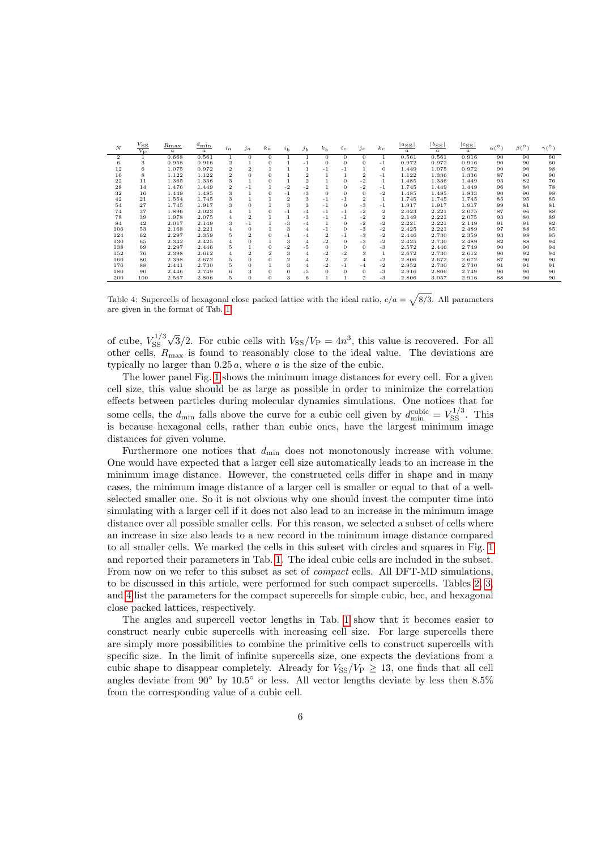| N            | $\frac{V_{\rm SS}}{V_{\rm P}}$ | $R_{\rm max}$<br>$\boldsymbol{a}$ | $d_{\min}$<br>$\boldsymbol{a}$ | $i_a$          | $\int_a$       | $k_a$          | a <sub>b</sub> | j <sub>b</sub> | $k_b$          | $\iota_c$      | $j_c$          | $k_c$                   | $\frac{ a_{\rm SS} }{\sqrt{2}}$<br>$\alpha$ | $ b_{\rm SS} $<br>$\boldsymbol{a}$ | $ c_{SS} $<br>$\alpha$ | $\alpha$ ( <sup>o</sup> ) | $\beta$ <sup>(<math>\circ</math></sup> ) | $\gamma(^\circ)$ |
|--------------|--------------------------------|-----------------------------------|--------------------------------|----------------|----------------|----------------|----------------|----------------|----------------|----------------|----------------|-------------------------|---------------------------------------------|------------------------------------|------------------------|---------------------------|------------------------------------------|------------------|
| $\mathbf{2}$ |                                | 0.668                             | 0.561                          | 1              | $\Omega$       | $\Omega$       | 1              |                | $\Omega$       | $\Omega$       | $^{\circ}$     | 1                       | 0.561                                       | 0.561                              | 0.916                  | 90                        | 90                                       | 60               |
| 6            | 3                              | 0.958                             | 0.916                          | $\overline{2}$ |                | $\Omega$       |                | -1             | $\theta$       | $\Omega$       | 0              | $-1$                    | 0.972                                       | 0.972                              | 0.916                  | 90                        | 90                                       | 60               |
| 12           | 6                              | 1.075                             | 0.972                          | $\overline{2}$ | $\overline{2}$ |                |                |                | -1             | $-1$           |                | $\Omega$                | 1.449                                       | 1.075                              | 0.972                  | 90                        | 90                                       | 98               |
| 16           | 8                              | 1.122                             | 1.122                          | $\overline{2}$ | $\Omega$       | $\Omega$       |                | $\overline{2}$ |                |                | $\overline{2}$ | $-1$                    | 1.122                                       | 1.336                              | 1.336                  | 87                        | 90                                       | 90               |
| 22           | 11                             | 1.365                             | 1.336                          | 3              |                | $\Omega$       |                | $\overline{2}$ |                | $\Omega$       | $-2$           | 1                       | 1.485                                       | 1.336                              | 1.449                  | 93                        | 82                                       | 76               |
| 28           | 14                             | 1.476                             | 1.449                          | $\overline{2}$ | $-1$           |                | $-2$           | $-2$           |                | $\mathbf{0}$   | $-2$           | $-1$                    | 1.745                                       | 1.449                              | 1.449                  | 96                        | 80                                       | 78               |
| 32           | 16                             | 1.449                             | 1.485                          | 3              |                | $\Omega$       | $-1$           | $-3$           | $\theta$       | $\theta$       | $\Omega$       | $-2$                    | 1.485                                       | 1.485                              | 1.833                  | 90                        | 90                                       | 98               |
| 42           | 21                             | 1.554                             | 1.745                          | 3              |                |                | $\overline{2}$ | 3              | -1             | $-1$           | $\overline{2}$ | 1                       | 1.745                                       | 1.745                              | 1.745                  | 85                        | 95                                       | 85               |
| 54           | 27                             | 1.745                             | 1.917                          | 3              | 0              |                | 3              | 3              | $-1$           | $\Omega$       | $-3$           | $-1$                    | 1.917                                       | 1.917                              | 1.917                  | 99                        | 81                                       | 81               |
| 74           | 37                             | 1.896                             | 2.023                          | 4              |                | $\Omega$       | $-1$           | $-4$           | $-1$           | $-1$           | $-2$           | 2                       | 2.023                                       | 2.221                              | 2.075                  | 87                        | 96                                       | 88               |
| 78           | 39                             | 1.978                             | 2.075                          | 4              | $\overline{2}$ |                | 1              | $-3$           | $-1$           | $-1$           | $-2$           | $\overline{\mathbf{2}}$ | 2.149                                       | 2.221                              | 2.075                  | 93                        | 80                                       | 89               |
| 84           | 42                             | 2.017                             | 2.149                          | 3              | $-1$           |                | -3             | -4             | 1              | $\Omega$       | $-2$           | $-2$                    | 2.221                                       | 2.221                              | 2.149                  | 91                        | 91                                       | 82               |
| 106          | 53                             | 2.168                             | 2.221                          | 4              | $\Omega$       |                | 3              | 4              | $-1$           | $\Omega$       | $-3$           | $-2$                    | 2.425                                       | 2.221                              | 2.489                  | 97                        | 88                                       | 85               |
| 124          | 62                             | 2.297                             | 2.359                          | 5              | $\overline{2}$ | $\Omega$       | $-1$           | -4             | $\overline{2}$ | - 1            | $-3$           | $-2$                    | 2.446                                       | 2.730                              | 2.359                  | 93                        | 98                                       | 95               |
| 130          | 65                             | 2.342                             | 2.425                          | 4              | 0              |                | 3              | $\overline{4}$ | $-2$           | $\theta$       | $-3$           | $-2$                    | 2.425                                       | 2.730                              | 2.489                  | 82                        | 88                                       | 94               |
| 138          | 69                             | 2.297                             | 2.446                          | 5              |                | $\Omega$       | -2             | -5             | $\theta$       | $\theta$       | $\theta$       | $-3$                    | 2.572                                       | 2.446                              | 2.749                  | 90                        | 90                                       | 94               |
| 152          | 76                             | 2.398                             | 2.612                          | 4              | $\overline{2}$ | $\overline{2}$ | 3              | 4              | $-2$           | $-2$           | 3              | 1                       | 2.672                                       | 2.730                              | 2.612                  | 90                        | 92                                       | 94               |
| 160          | 80                             | 2.398                             | 2.672                          | 5              | $\Omega$       | $\Omega$       | $\overline{2}$ | 4              | $\overline{2}$ | $\overline{2}$ | 4              | $-2$                    | 2.806                                       | 2.672                              | 2.672                  | 87                        | 90                                       | 90               |
| 176          | 88                             | 2.441                             | 2.730                          | 5              | 0              |                | 3              | 4              | $-2$           | - 1            | $-4$           | $-2$                    | 2.952                                       | 2.730                              | 2.730                  | 91                        | 91                                       | 91               |
| 180          | 90                             | 2.446                             | 2.749                          | 6              | 3              | $\Omega$       | $\theta$       | $-5$           | $\theta$       | $\theta$       | $\Omega$       | $-3$                    | 2.916                                       | 2.806                              | 2.749                  | 90                        | 90                                       | 90               |
| 200          | 100                            | 2.567                             | 2.806                          | 5              | 0              | $\Omega$       | 3              | 6              |                |                | 2              | $-3$                    | 2.806                                       | 3.057                              | 2.916                  | 88                        | 90                                       | 90               |

<span id="page-5-0"></span>Table 4: Supercells of hexagonal close packed lattice with the ideal ratio,  $c/a = \sqrt{8/3}$ . All parameters are given in the format of Tab. [1.](#page-4-0)

of cube,  $V_{SS}^{1/3}$ SS √  $\sqrt{3}/2$ . For cubic cells with  $V_{SS}/V_P = 4n^3$ , this value is recovered. For all other cells,  $R_{\text{max}}$  is found to reasonably close to the ideal value. The deviations are typically no larger than  $0.25 a$ , where a is the size of the cubic.

The lower panel Fig. [1](#page-6-0) shows the minimum image distances for every cell. For a given cell size, this value should be as large as possible in order to minimize the correlation effects between particles during molecular dynamics simulations. One notices that for some cells, the  $d_{\min}$  falls above the curve for a cubic cell given by  $d_{\min}^{\text{cubic}} = V_{SS}^{1/3}$ . This is because hexagonal cells, rather than cubic ones, have the largest minimum image distances for given volume.

Furthermore one notices that  $d_{\min}$  does not monotonously increase with volume. One would have expected that a larger cell size automatically leads to an increase in the minimum image distance. However, the constructed cells differ in shape and in many cases, the minimum image distance of a larger cell is smaller or equal to that of a wellselected smaller one. So it is not obvious why one should invest the computer time into simulating with a larger cell if it does not also lead to an increase in the minimum image distance over all possible smaller cells. For this reason, we selected a subset of cells where an increase in size also leads to a new record in the minimum image distance compared to all smaller cells. We marked the cells in this subset with circles and squares in Fig. [1](#page-6-0) and reported their parameters in Tab. [1.](#page-4-0) The ideal cubic cells are included in the subset. From now on we refer to this subset as set of compact cells. All DFT-MD simulations, to be discussed in this article, were performed for such compact supercells. Tables [2,](#page-4-1) [3,](#page-4-2) and [4](#page-5-0) list the parameters for the compact supercells for simple cubic, bcc, and hexagonal close packed lattices, respectively.

The angles and supercell vector lengths in Tab. [1](#page-4-0) show that it becomes easier to construct nearly cubic supercells with increasing cell size. For large supercells there are simply more possibilities to combine the primitive cells to construct supercells with specific size. In the limit of infinite supercells size, one expects the deviations from a cubic shape to disappear completely. Already for  $V_{SS}/V_P \geq 13$ , one finds that all cell angles deviate from  $90°$  by  $10.5°$  or less. All vector lengths deviate by less then  $8.5\%$ from the corresponding value of a cubic cell.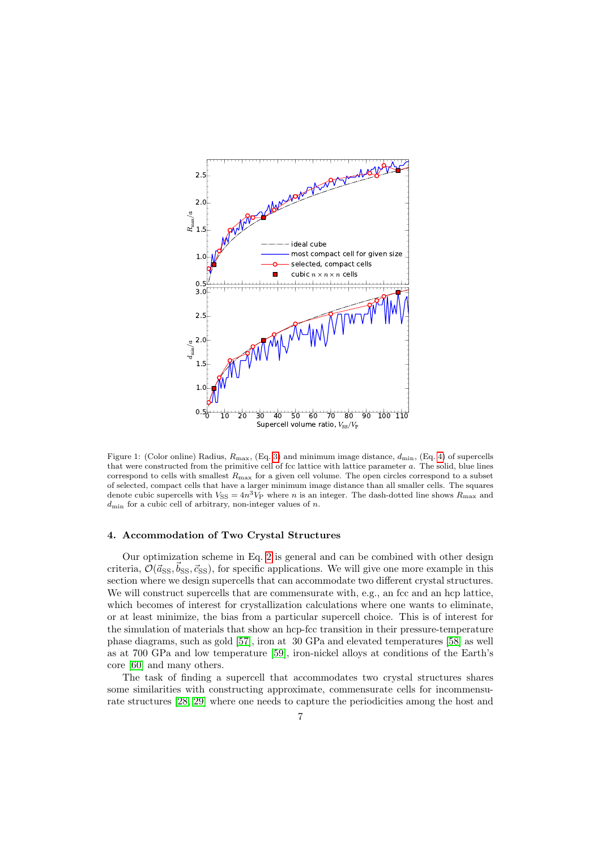

<span id="page-6-0"></span>Figure 1: (Color online) Radius,  $R_{\text{max}}$ , (Eq. [3\)](#page-3-2) and minimum image distance,  $d_{\text{min}}$ , (Eq. [4\)](#page-3-1) of supercells that were constructed from the primitive cell of fcc lattice with lattice parameter a. The solid, blue lines correspond to cells with smallest  $R_{\text{max}}$  for a given cell volume. The open circles correspond to a subset of selected, compact cells that have a larger minimum image distance than all smaller cells. The squares denote cubic supercells with  $V_{SS} = 4n^3V_P$  where n is an integer. The dash-dotted line shows  $R_{\text{max}}$  and  $d_{\text{min}}$  for a cubic cell of arbitrary, non-integer values of n.

#### 4. Accommodation of Two Crystal Structures

Our optimization scheme in Eq. [2](#page-2-1) is general and can be combined with other design criteria,  $\mathcal{O}(\vec{a}_{\rm SS}, \vec{b}_{\rm SS}, \vec{c}_{\rm SS})$ , for specific applications. We will give one more example in this section where we design supercells that can accommodate two different crystal structures. We will construct supercells that are commensurate with, e.g., an fcc and an hcp lattice, which becomes of interest for crystallization calculations where one wants to eliminate, or at least minimize, the bias from a particular supercell choice. This is of interest for the simulation of materials that show an hcp-fcc transition in their pressure-temperature phase diagrams, such as gold [\[57\]](#page-14-23), iron at 30 GPa and elevated temperatures [\[58\]](#page-14-24) as well as at 700 GPa and low temperature [\[59\]](#page-14-25), iron-nickel alloys at conditions of the Earth's core [\[60\]](#page-14-26) and many others.

The task of finding a supercell that accommodates two crystal structures shares some similarities with constructing approximate, commensurate cells for incommensurate structures [\[28,](#page-13-18) [29\]](#page-13-19) where one needs to capture the periodicities among the host and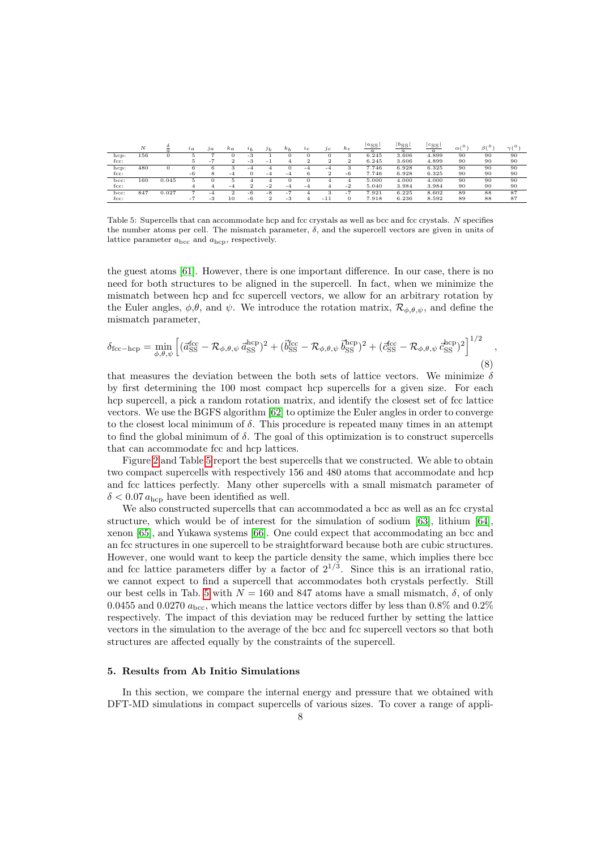|         | N   |       | $i_a$ | $\int_a$ | $k_a$    |          | J <sub>b</sub> | $k_b$ | $\iota_c$     | Jс    | $\kappa_c$ | ${}^{\perp a}$ SS<br>$\sigma$ | $^{\text{\tiny{b}}_{\rm{SS}}}$ | $c_{\rm SS}$<br>$\alpha$ | $\sim$ 0<br>$\alpha$ | B(°) | $\sim$ ( $\circ$ ) |
|---------|-----|-------|-------|----------|----------|----------|----------------|-------|---------------|-------|------------|-------------------------------|--------------------------------|--------------------------|----------------------|------|--------------------|
| hcp:    | 156 |       |       |          |          | -3       |                |       |               |       |            | 6.245                         | 3.606                          | 4.899                    | 90                   | 90   | 90                 |
| fcc:    |     |       |       | ٠        | $\Omega$ | -3       | - 1            | 4     | $\Omega$<br>∠ | z     | z          | 6.245                         | 3.606                          | 4.899                    | 90                   | 90   | 90                 |
| hcp:    | 480 |       |       |          | з        | $-4$     |                |       | $-4$          | $-4$  |            | 7.746                         | 6.928                          | 6.325                    | 90                   | 90   | 90                 |
| fcc:    |     |       | $-6$  |          | $-4$     | 0        | $-4$           | $-4$  |               | ∠     | $-6$       | 7.746                         | 6.928                          | 6.325                    | 90                   | 90   | 90                 |
| bcc:    | 160 | 0.045 |       |          |          |          |                |       |               | 4     | 4          | 5.000                         | 4.000                          | 4.000                    | 90                   | 90   | 90                 |
| $fcc$ : |     |       |       |          | -4       | $\Omega$ | $-2$           | $-4$  | $-4$          |       | $-2$       | 5.040                         | 3.984                          | 3.984                    | 90                   | 90   | 90                 |
| bcc:    | 847 | 0.027 |       | $-4$     |          | $-6$     | $-8$           | . .   |               |       | нU.        | 7.921                         | 6.225                          | 8.602                    | 89                   | 88   | 87                 |
| fcc:    |     |       | . .   | o<br>- 0 | 10       | $-6$     | $\Omega$       | -3    |               | $-11$ |            | 7.918                         | 6.236                          | 8.592                    | 89                   | 88   | 87                 |

<span id="page-7-0"></span>Table 5: Supercells that can accommodate hcp and fcc crystals as well as bcc and fcc crystals. N specifies the number atoms per cell. The mismatch parameter,  $\delta$ , and the supercell vectors are given in units of lattice parameter  $a_{\text{bcc}}$  and  $a_{\text{hcp}}$ , respectively.

the guest atoms [\[61\]](#page-14-27). However, there is one important difference. In our case, there is no need for both structures to be aligned in the supercell. In fact, when we minimize the mismatch between hcp and fcc supercell vectors, we allow for an arbitrary rotation by the Euler angles,  $\phi, \theta$ , and  $\psi$ . We introduce the rotation matrix,  $\mathcal{R}_{\phi, \theta, \psi}$ , and define the mismatch parameter,

<span id="page-7-1"></span>
$$
\delta_{\text{fcc-hcp}} = \min_{\phi,\theta,\psi} \left[ (\vec{a}_{\text{SS}}^{\text{fcc}} - \mathcal{R}_{\phi,\theta,\psi} \, \vec{a}_{\text{SS}}^{\text{hcp}})^2 + (\vec{b}_{\text{SS}}^{\text{fcc}} - \mathcal{R}_{\phi,\theta,\psi} \, \vec{b}_{\text{SS}}^{\text{hcp}})^2 + (\vec{c}_{\text{SS}}^{\text{fcc}} - \mathcal{R}_{\phi,\theta,\psi} \, \vec{c}_{\text{SS}}^{\text{hop}})^2 \right]^{1/2} \tag{8}
$$

that measures the deviation between the both sets of lattice vectors. We minimize  $\delta$ by first determining the 100 most compact hcp supercells for a given size. For each hcp supercell, a pick a random rotation matrix, and identify the closest set of fcc lattice vectors. We use the BGFS algorithm [\[62\]](#page-14-28) to optimize the Euler angles in order to converge to the closest local minimum of  $\delta$ . This procedure is repeated many times in an attempt to find the global minimum of  $\delta$ . The goal of this optimization is to construct supercells that can accommodate fcc and hcp lattices.

Figure [2](#page-8-0) and Table [5](#page-7-0) report the best supercells that we constructed. We able to obtain two compact supercells with respectively 156 and 480 atoms that accommodate and hcp and fcc lattices perfectly. Many other supercells with a small mismatch parameter of  $\delta$  < 0.07  $a_{\text{hcp}}$  have been identified as well.

We also constructed supercells that can accommodated a bcc as well as an fcc crystal structure, which would be of interest for the simulation of sodium [\[63\]](#page-14-29), lithium [\[64\]](#page-14-30), xenon [\[65\]](#page-14-31), and Yukawa systems [\[66\]](#page-14-32). One could expect that accommodating an bcc and an fcc structures in one supercell to be straightforward because both are cubic structures. However, one would want to keep the particle density the same, which implies there bcc and fcc lattice parameters differ by a factor of  $2^{1/3}$ . Since this is an irrational ratio, we cannot expect to find a supercell that accommodates both crystals perfectly. Still our best cells in Tab. [5](#page-7-0) with  $N = 160$  and 847 atoms have a small mismatch,  $\delta$ , of only 0.0455 and 0.0270  $a_{\text{bcc}}$ , which means the lattice vectors differ by less than 0.8% and 0.2% respectively. The impact of this deviation may be reduced further by setting the lattice vectors in the simulation to the average of the bcc and fcc supercell vectors so that both structures are affected equally by the constraints of the supercell.

#### 5. Results from Ab Initio Simulations

In this section, we compare the internal energy and pressure that we obtained with DFT-MD simulations in compact supercells of various sizes. To cover a range of appli-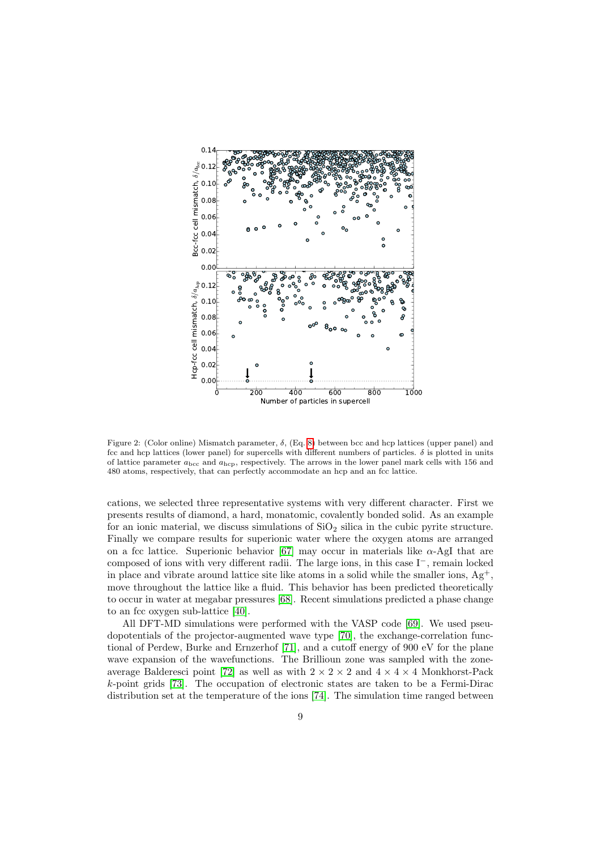

<span id="page-8-0"></span>Figure 2: (Color online) Mismatch parameter,  $\delta$ , (Eq. [8\)](#page-7-1) between bcc and hcp lattices (upper panel) and fcc and hcp lattices (lower panel) for supercells with different numbers of particles.  $\delta$  is plotted in units of lattice parameter  $a_{\text{bcc}}$  and  $a_{\text{hcp}}$ , respectively. The arrows in the lower panel mark cells with 156 and 480 atoms, respectively, that can perfectly accommodate an hcp and an fcc lattice.

cations, we selected three representative systems with very different character. First we presents results of diamond, a hard, monatomic, covalently bonded solid. As an example for an ionic material, we discuss simulations of  $SiO<sub>2</sub>$  silica in the cubic pyrite structure. Finally we compare results for superionic water where the oxygen atoms are arranged on a fcc lattice. Superionic behavior [\[67\]](#page-14-33) may occur in materials like  $\alpha$ -AgI that are composed of ions with very different radii. The large ions, in this case I<sup>−</sup>, remain locked in place and vibrate around lattice site like atoms in a solid while the smaller ions,  $Ag^+,$ move throughout the lattice like a fluid. This behavior has been predicted theoretically to occur in water at megabar pressures [\[68\]](#page-14-34). Recent simulations predicted a phase change to an fcc oxygen sub-lattice [\[40\]](#page-14-6).

All DFT-MD simulations were performed with the VASP code [\[69\]](#page-14-35). We used pseudopotentials of the projector-augmented wave type [\[70\]](#page-14-36), the exchange-correlation functional of Perdew, Burke and Ernzerhof [\[71\]](#page-14-37), and a cutoff energy of 900 eV for the plane wave expansion of the wavefunctions. The Brillioun zone was sampled with the zone-average Balderesci point [\[72\]](#page-14-38) as well as with  $2 \times 2 \times 2$  and  $4 \times 4 \times 4$  Monkhorst-Pack k-point grids [\[73\]](#page-14-39). The occupation of electronic states are taken to be a Fermi-Dirac distribution set at the temperature of the ions [\[74\]](#page-14-40). The simulation time ranged between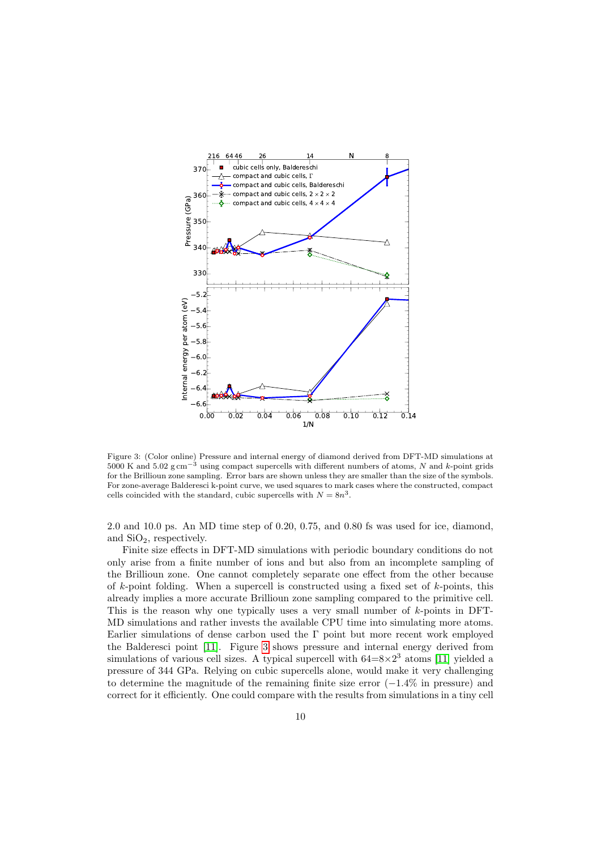

<span id="page-9-0"></span>Figure 3: (Color online) Pressure and internal energy of diamond derived from DFT-MD simulations at 5000 K and 5.02 g cm−<sup>3</sup> using compact supercells with different numbers of atoms, N and k-point grids for the Brillioun zone sampling. Error bars are shown unless they are smaller than the size of the symbols. For zone-average Balderesci k-point curve, we used squares to mark cases where the constructed, compact cells coincided with the standard, cubic supercells with  $N = 8n^3$ .

2.0 and 10.0 ps. An MD time step of 0.20, 0.75, and 0.80 fs was used for ice, diamond, and  $SiO<sub>2</sub>$ , respectively.

Finite size effects in DFT-MD simulations with periodic boundary conditions do not only arise from a finite number of ions and but also from an incomplete sampling of the Brillioun zone. One cannot completely separate one effect from the other because of  $k$ -point folding. When a supercell is constructed using a fixed set of  $k$ -points, this already implies a more accurate Brillioun zone sampling compared to the primitive cell. This is the reason why one typically uses a very small number of  $k$ -points in DFT-MD simulations and rather invests the available CPU time into simulating more atoms. Earlier simulations of dense carbon used the Γ point but more recent work employed the Balderesci point [\[11\]](#page-13-1). Figure [3](#page-9-0) shows pressure and internal energy derived from simulations of various cell sizes. A typical supercell with  $64=8\times2^3$  atoms [\[11\]](#page-13-1) yielded a pressure of 344 GPa. Relying on cubic supercells alone, would make it very challenging to determine the magnitude of the remaining finite size error  $(-1.4\%$  in pressure) and correct for it efficiently. One could compare with the results from simulations in a tiny cell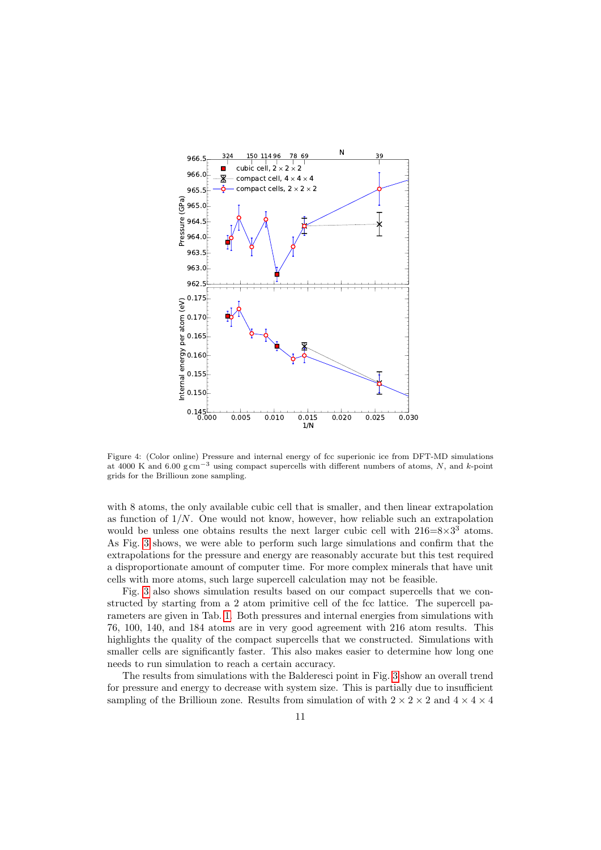

<span id="page-10-0"></span>Figure 4: (Color online) Pressure and internal energy of fcc superionic ice from DFT-MD simulations at 4000 K and 6.00 g cm−<sup>3</sup> using compact supercells with different numbers of atoms, N, and k-point grids for the Brillioun zone sampling.

with 8 atoms, the only available cubic cell that is smaller, and then linear extrapolation as function of  $1/N$ . One would not know, however, how reliable such an extrapolation would be unless one obtains results the next larger cubic cell with  $216=8\times3^3$  atoms. As Fig. [3](#page-9-0) shows, we were able to perform such large simulations and confirm that the extrapolations for the pressure and energy are reasonably accurate but this test required a disproportionate amount of computer time. For more complex minerals that have unit cells with more atoms, such large supercell calculation may not be feasible.

Fig. [3](#page-9-0) also shows simulation results based on our compact supercells that we constructed by starting from a 2 atom primitive cell of the fcc lattice. The supercell parameters are given in Tab. [1.](#page-4-0) Both pressures and internal energies from simulations with 76, 100, 140, and 184 atoms are in very good agreement with 216 atom results. This highlights the quality of the compact supercells that we constructed. Simulations with smaller cells are significantly faster. This also makes easier to determine how long one needs to run simulation to reach a certain accuracy.

The results from simulations with the Balderesci point in Fig. [3](#page-9-0) show an overall trend for pressure and energy to decrease with system size. This is partially due to insufficient sampling of the Brillioun zone. Results from simulation of with  $2 \times 2 \times 2$  and  $4 \times 4 \times 4$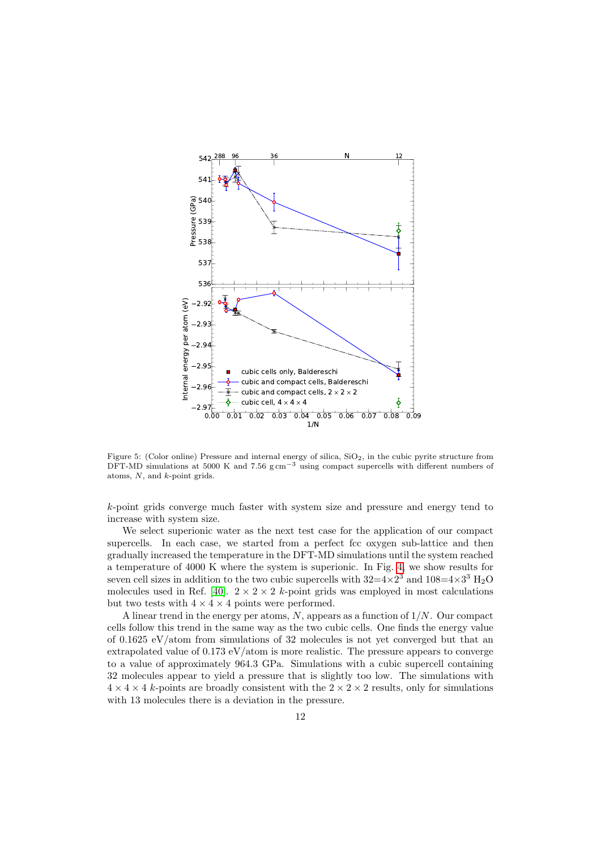

<span id="page-11-0"></span>Figure 5: (Color online) Pressure and internal energy of silica,  $SiO<sub>2</sub>$ , in the cubic pyrite structure from DFT-MD simulations at 5000 K and 7.56 g cm<sup>-3</sup> using compact supercells with different numbers of atoms, N, and k-point grids.

k-point grids converge much faster with system size and pressure and energy tend to increase with system size.

We select superionic water as the next test case for the application of our compact supercells. In each case, we started from a perfect fcc oxygen sub-lattice and then gradually increased the temperature in the DFT-MD simulations until the system reached a temperature of 4000 K where the system is superionic. In Fig. [4,](#page-10-0) we show results for seven cell sizes in addition to the two cubic supercells with  $32=4\times2^3$  and  $108=4\times3^3$  H<sub>2</sub>O molecules used in Ref. [\[40\]](#page-14-6).  $2 \times 2 \times 2$  k-point grids was employed in most calculations but two tests with  $4 \times 4 \times 4$  points were performed.

A linear trend in the energy per atoms,  $N$ , appears as a function of  $1/N$ . Our compact cells follow this trend in the same way as the two cubic cells. One finds the energy value of 0.1625 eV/atom from simulations of 32 molecules is not yet converged but that an extrapolated value of 0.173 eV/atom is more realistic. The pressure appears to converge to a value of approximately 964.3 GPa. Simulations with a cubic supercell containing 32 molecules appear to yield a pressure that is slightly too low. The simulations with  $4 \times 4 \times 4$  k-points are broadly consistent with the  $2 \times 2 \times 2$  results, only for simulations with 13 molecules there is a deviation in the pressure.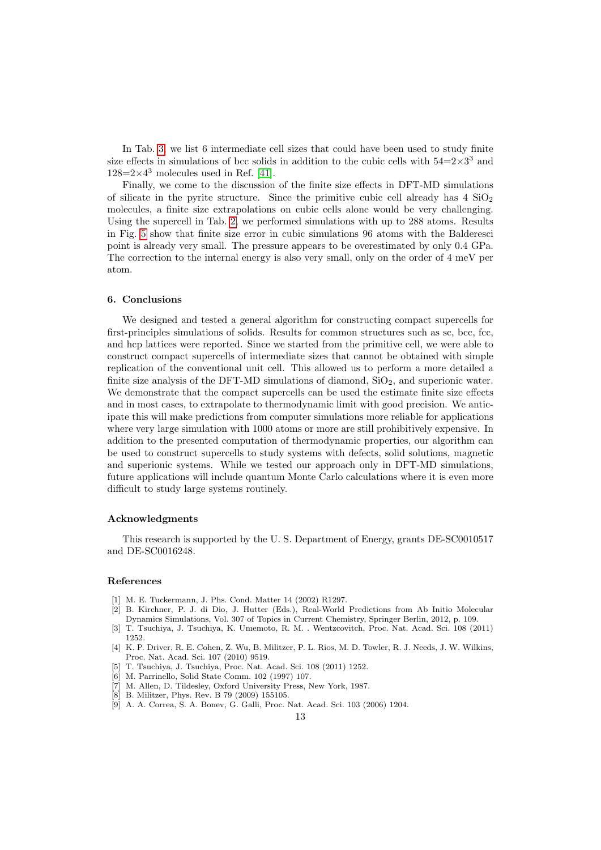In Tab. [3,](#page-4-2) we list 6 intermediate cell sizes that could have been used to study finite size effects in simulations of bcc solids in addition to the cubic cells with  $54=2\times3^3$  and  $128=2\times4^3$  molecules used in Ref. [\[41\]](#page-14-7).

Finally, we come to the discussion of the finite size effects in DFT-MD simulations of silicate in the pyrite structure. Since the primitive cubic cell already has  $4 \text{ SiO}_2$ molecules, a finite size extrapolations on cubic cells alone would be very challenging. Using the supercell in Tab. [2,](#page-4-1) we performed simulations with up to 288 atoms. Results in Fig. [5](#page-11-0) show that finite size error in cubic simulations 96 atoms with the Balderesci point is already very small. The pressure appears to be overestimated by only 0.4 GPa. The correction to the internal energy is also very small, only on the order of 4 meV per atom.

#### 6. Conclusions

We designed and tested a general algorithm for constructing compact supercells for first-principles simulations of solids. Results for common structures such as sc, bcc, fcc, and hcp lattices were reported. Since we started from the primitive cell, we were able to construct compact supercells of intermediate sizes that cannot be obtained with simple replication of the conventional unit cell. This allowed us to perform a more detailed a finite size analysis of the DFT-MD simulations of diamond,  $SiO<sub>2</sub>$ , and superionic water. We demonstrate that the compact supercells can be used the estimate finite size effects and in most cases, to extrapolate to thermodynamic limit with good precision. We anticipate this will make predictions from computer simulations more reliable for applications where very large simulation with 1000 atoms or more are still prohibitively expensive. In addition to the presented computation of thermodynamic properties, our algorithm can be used to construct supercells to study systems with defects, solid solutions, magnetic and superionic systems. While we tested our approach only in DFT-MD simulations, future applications will include quantum Monte Carlo calculations where it is even more difficult to study large systems routinely.

### Acknowledgments

This research is supported by the U. S. Department of Energy, grants DE-SC0010517 and DE-SC0016248.

## References

- <span id="page-12-0"></span>[1] M. E. Tuckermann, J. Phs. Cond. Matter 14 (2002) R1297.
- <span id="page-12-1"></span>[2] B. Kirchner, P. J. di Dio, J. Hutter (Eds.), Real-World Predictions from Ab Initio Molecular Dynamics Simulations, Vol. 307 of Topics in Current Chemistry, Springer Berlin, 2012, p. 109.
- <span id="page-12-2"></span>[3] T. Tsuchiya, J. Tsuchiya, K. Umemoto, R. M. . Wentzcovitch, Proc. Nat. Acad. Sci. 108 (2011) 1252.
- <span id="page-12-3"></span>[4] K. P. Driver, R. E. Cohen, Z. Wu, B. Militzer, P. L. Rios, M. D. Towler, R. J. Needs, J. W. Wilkins, Proc. Nat. Acad. Sci. 107 (2010) 9519.
- <span id="page-12-4"></span>[5] T. Tsuchiya, J. Tsuchiya, Proc. Nat. Acad. Sci. 108 (2011) 1252.
- <span id="page-12-5"></span>[6] M. Parrinello, Solid State Comm. 102 (1997) 107.
- <span id="page-12-6"></span>M. Allen, D. Tildesley, Oxford University Press, New York, 1987.
- <span id="page-12-7"></span>[8] B. Militzer, Phys. Rev. B 79 (2009) 155105.
- <span id="page-12-8"></span>[9] A. A. Correa, S. A. Bonev, G. Galli, Proc. Nat. Acad. Sci. 103 (2006) 1204.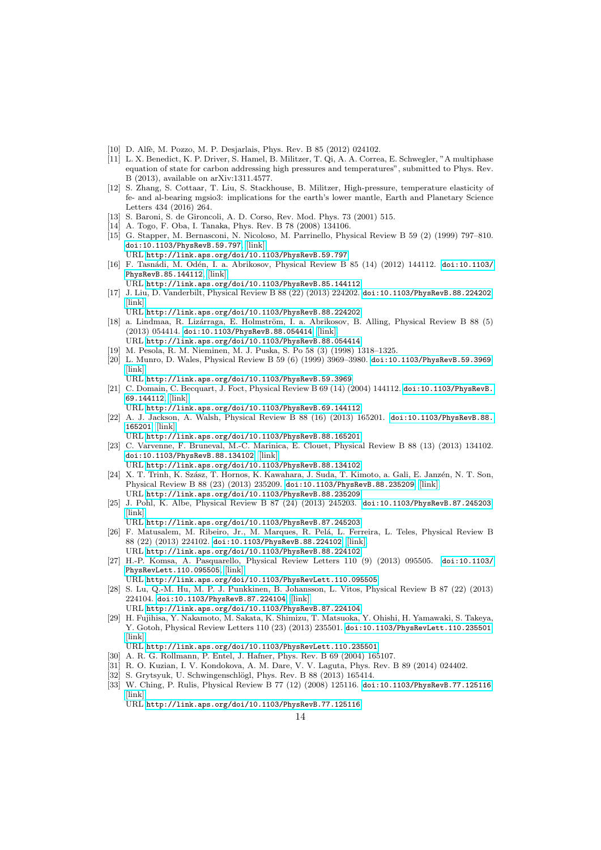- <span id="page-13-0"></span>[10] D. Alfè, M. Pozzo, M. P. Desjarlais, Phys. Rev. B 85 (2012) 024102.
- <span id="page-13-1"></span>[11] L. X. Benedict, K. P. Driver, S. Hamel, B. Militzer, T. Qi, A. A. Correa, E. Schwegler, "A multiphase equation of state for carbon addressing high pressures and temperatures", submitted to Phys. Rev. B (2013), available on arXiv:1311.4577.
- <span id="page-13-2"></span>[12] S. Zhang, S. Cottaar, T. Liu, S. Stackhouse, B. Militzer, High-pressure, temperature elasticity of fe- and al-bearing mgsio3: implications for the earth's lower mantle, Earth and Planetary Science Letters 434 (2016) 264.
- <span id="page-13-3"></span>[13] S. Baroni, S. de Gironcoli, A. D. Corso, Rev. Mod. Phys. 73 (2001) 515.
- <span id="page-13-4"></span>[14] A. Togo, F. Oba, I. Tanaka, Phys. Rev. B 78 (2008) 134106.
- <span id="page-13-5"></span>[15] G. Stapper, M. Bernasconi, N. Nicoloso, M. Parrinello, Physical Review B 59 (2) (1999) 797–810. [doi:10.1103/PhysRevB.59.797](http://dx.doi.org/10.1103/PhysRevB.59.797), [\[link\].](http://link.aps.org/doi/10.1103/PhysRevB.59.797) URL <http://link.aps.org/doi/10.1103/PhysRevB.59.797>
- <span id="page-13-6"></span>[16] F. Tasnádi, M. Odén, I. a. Abrikosov, Physical Review B 85 (14) (2012) 144112. [doi:10.1103/](http://dx.doi.org/10.1103/PhysRevB.85.144112) [PhysRevB.85.144112](http://dx.doi.org/10.1103/PhysRevB.85.144112), [\[link\].](http://link.aps.org/doi/10.1103/PhysRevB.85.144112)
	- URL <http://link.aps.org/doi/10.1103/PhysRevB.85.144112>
- <span id="page-13-7"></span>[17] J. Liu, D. Vanderbilt, Physical Review B 88 (22) (2013) 224202. [doi:10.1103/PhysRevB.88.224202](http://dx.doi.org/10.1103/PhysRevB.88.224202), [\[link\].](http://link.aps.org/doi/10.1103/PhysRevB.88.224202)
	- URL <http://link.aps.org/doi/10.1103/PhysRevB.88.224202>
- <span id="page-13-8"></span>[18] a. Lindmaa, R. Lizárraga, E. Holmström, I. a. Abrikosov, B. Alling, Physical Review B 88 (5) (2013) 054414. [doi:10.1103/PhysRevB.88.054414](http://dx.doi.org/10.1103/PhysRevB.88.054414), [\[link\].](http://link.aps.org/doi/10.1103/PhysRevB.88.054414) URL <http://link.aps.org/doi/10.1103/PhysRevB.88.054414>
- <span id="page-13-9"></span>[19] M. Pesola, R. M. Nieminen, M. J. Puska, S. Po 58 (3) (1998) 1318–1325.
- <span id="page-13-10"></span>[20] L. Munro, D. Wales, Physical Review B 59 (6) (1999) 3969–3980. [doi:10.1103/PhysRevB.59.3969](http://dx.doi.org/10.1103/PhysRevB.59.3969), [\[link\].](http://link.aps.org/doi/10.1103/PhysRevB.59.3969)
- <span id="page-13-11"></span>URL <http://link.aps.org/doi/10.1103/PhysRevB.59.3969> [21] C. Domain, C. Becquart, J. Foct, Physical Review B 69 (14) (2004) 144112. [doi:10.1103/PhysRevB.](http://dx.doi.org/10.1103/PhysRevB.69.144112)
- [69.144112](http://dx.doi.org/10.1103/PhysRevB.69.144112), [\[link\].](http://link.aps.org/doi/10.1103/PhysRevB.69.144112) URL <http://link.aps.org/doi/10.1103/PhysRevB.69.144112>
- <span id="page-13-12"></span>[22] A. J. Jackson, A. Walsh, Physical Review B 88 (16) (2013) 165201. [doi:10.1103/PhysRevB.88.](http://dx.doi.org/10.1103/PhysRevB.88.165201) [165201](http://dx.doi.org/10.1103/PhysRevB.88.165201), [\[link\].](http://link.aps.org/doi/10.1103/PhysRevB.88.165201)
- URL <http://link.aps.org/doi/10.1103/PhysRevB.88.165201>
- <span id="page-13-13"></span>[23] C. Varvenne, F. Bruneval, M.-C. Marinica, E. Clouet, Physical Review B 88 (13) (2013) 134102. [doi:10.1103/PhysRevB.88.134102](http://dx.doi.org/10.1103/PhysRevB.88.134102), [\[link\].](http://link.aps.org/doi/10.1103/PhysRevB.88.134102) URL <http://link.aps.org/doi/10.1103/PhysRevB.88.134102>
- <span id="page-13-14"></span>[24] X. T. Trinh, K. Szász, T. Hornos, K. Kawahara, J. Suda, T. Kimoto, a. Gali, E. Janzén, N. T. Son, Physical Review B 88 (23) (2013) 235209. [doi:10.1103/PhysRevB.88.235209](http://dx.doi.org/10.1103/PhysRevB.88.235209), [\[link\].](http://link.aps.org/doi/10.1103/PhysRevB.88.235209)
- <span id="page-13-15"></span>URL <http://link.aps.org/doi/10.1103/PhysRevB.88.235209> [25] J. Pohl, K. Albe, Physical Review B 87 (24) (2013) 245203. [doi:10.1103/PhysRevB.87.245203](http://dx.doi.org/10.1103/PhysRevB.87.245203),
- [\[link\].](http://link.aps.org/doi/10.1103/PhysRevB.87.245203) URL <http://link.aps.org/doi/10.1103/PhysRevB.87.245203>
- <span id="page-13-16"></span>[26] F. Matusalem, M. Ribeiro, Jr., M. Marques, R. Pelá, L. Ferreira, L. Teles, Physical Review B 88 (22) (2013) 224102. [doi:10.1103/PhysRevB.88.224102](http://dx.doi.org/10.1103/PhysRevB.88.224102), [\[link\].](http://link.aps.org/doi/10.1103/PhysRevB.88.224102)
- <span id="page-13-17"></span>URL <http://link.aps.org/doi/10.1103/PhysRevB.88.224102> [27] H.-P. Komsa, A. Pasquarello, Physical Review Letters 110 (9) (2013) 095505. [doi:10.1103/](http://dx.doi.org/10.1103/PhysRevLett.110.095505) [PhysRevLett.110.095505](http://dx.doi.org/10.1103/PhysRevLett.110.095505), [\[link\].](http://link.aps.org/doi/10.1103/PhysRevLett.110.095505)
- URL <http://link.aps.org/doi/10.1103/PhysRevLett.110.095505>
- <span id="page-13-18"></span>[28] S. Lu, Q.-M. Hu, M. P. J. Punkkinen, B. Johansson, L. Vitos, Physical Review B 87 (22) (2013) 224104. [doi:10.1103/PhysRevB.87.224104](http://dx.doi.org/10.1103/PhysRevB.87.224104), [\[link\].](http://link.aps.org/doi/10.1103/PhysRevB.87.224104)
- <span id="page-13-19"></span>URL <http://link.aps.org/doi/10.1103/PhysRevB.87.224104> [29] H. Fujihisa, Y. Nakamoto, M. Sakata, K. Shimizu, T. Matsuoka, Y. Ohishi, H. Yamawaki, S. Takeya, Y. Gotoh, Physical Review Letters 110 (23) (2013) 235501. [doi:10.1103/PhysRevLett.110.235501](http://dx.doi.org/10.1103/PhysRevLett.110.235501), [\[link\].](http://link.aps.org/doi/10.1103/PhysRevLett.110.235501)
- URL <http://link.aps.org/doi/10.1103/PhysRevLett.110.235501>
- <span id="page-13-20"></span>[30] A. R. G. Rollmann, P. Entel, J. Hafner, Phys. Rev. B 69 (2004) 165107.
- <span id="page-13-21"></span>[31] R. O. Kuzian, I. V. Kondokova, A. M. Dare, V. V. Laguta, Phys. Rev. B 89 (2014) 024402.
- <span id="page-13-22"></span>[32] S. Grytsyuk, U. Schwingenschlögl, Phys. Rev. B 88 (2013) 165414.
- <span id="page-13-23"></span>[33] W. Ching, P. Rulis, Physical Review B 77 (12) (2008) 125116. [doi:10.1103/PhysRevB.77.125116](http://dx.doi.org/10.1103/PhysRevB.77.125116),  $[link]$

URL <http://link.aps.org/doi/10.1103/PhysRevB.77.125116>